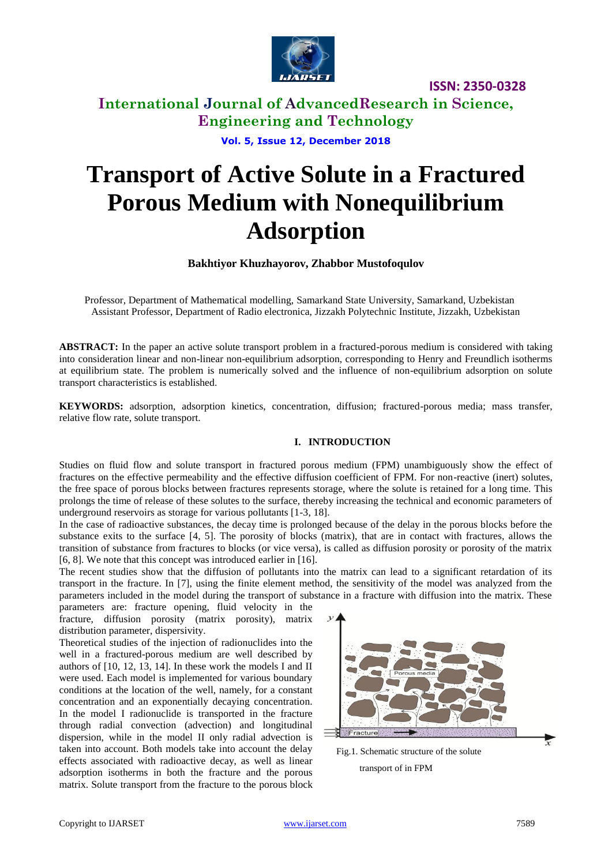

### **International Journal of AdvancedResearch in Science, Engineering and Technology**

**Vol. 5, Issue 12, December 2018**

# **Transport of Active Solute in a Fractured Porous Medium with Nonequilibrium Adsorption**

#### **Bakhtiyor Khuzhayorov, Zhabbor Mustofoqulov**

Professor, Department of Mathematical modelling, Samarkand State University, Samarkand, Uzbekistan Assistant Professor, Department of Radio electronica, Jizzakh Polytechnic Institute, Jizzakh, Uzbekistan

**ABSTRACT:** In the paper an active solute transport problem in a fractured-porous medium is considered with taking into consideration linear and non-linear non-equilibrium adsorption, corresponding to Henry and Freundlich isotherms at equilibrium state. The problem is numerically solved and the influence of non-equilibrium adsorption on solute transport characteristics is established.

**KEYWORDS:** adsorption, adsorption kinetics, concentration, diffusion; fractured-porous media; mass transfer, relative flow rate, solute transport.

#### **I. INTRODUCTION**

Studies on fluid flow and solute transport in fractured porous medium (FPM) unambiguously show the effect of fractures on the effective permeability and the effective diffusion coefficient of FPM. For non-reactive (inert) solutes, the free space of porous blocks between fractures represents storage, where the solute is retained for a long time. This prolongs the time of release of these solutes to the surface, thereby increasing the technical and economic parameters of underground reservoirs as storage for various pollutants [1-3, 18].

In the case of radioactive substances, the decay time is prolonged because of the delay in the porous blocks before the substance exits to the surface [4, 5]. The porosity of blocks (matrix), that are in contact with fractures, allows the transition of substance from fractures to blocks (or vice versa), is called as diffusion porosity or porosity of the matrix [6, 8]. We note that this concept was introduced earlier in [16].

The recent studies show that the diffusion of pollutants into the matrix can lead to a significant retardation of its transport in the fracture. In [7], using the finite element method, the sensitivity of the model was analyzed from the parameters included in the model during the transport of substance in a fracture with diffusion into the matrix. These

parameters are: fracture opening, fluid velocity in the fracture, diffusion porosity (matrix porosity), matrix distribution parameter, dispersivity.

Theoretical studies of the injection of radionuclides into the well in a fractured-porous medium are well described by authors of [10, 12, 13, 14]. In these work the models I and II were used. Each model is implemented for various boundary conditions at the location of the well, namely, for a constant concentration and an exponentially decaying concentration. In the model I radionuclide is transported in the fracture through radial convection (advection) and longitudinal dispersion, while in the model II only radial advection is taken into account. Both models take into account the delay effects associated with radioactive decay, as well as linear adsorption isotherms in both the fracture and the porous matrix. Solute transport from the fracture to the porous block



Fig.1. Schematic structure of the solute

transport of in FPM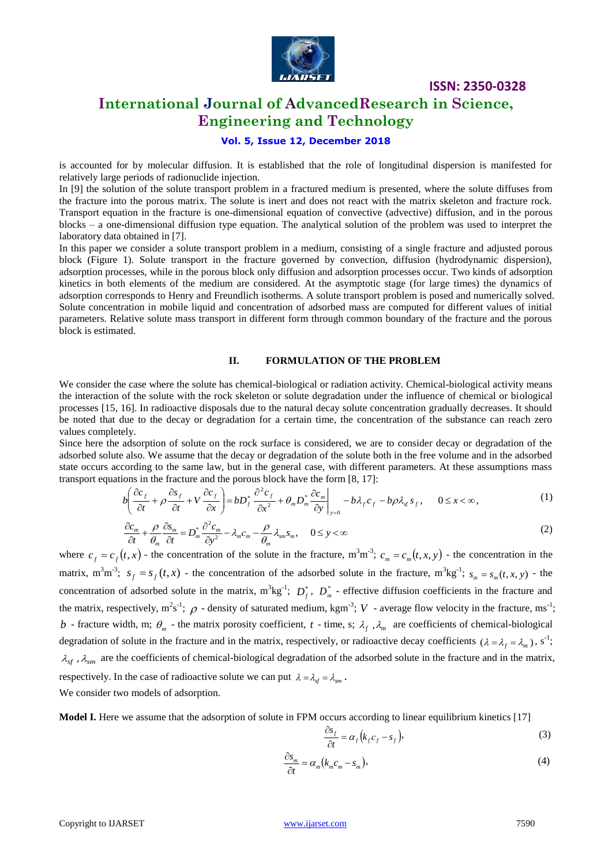

### **International Journal of AdvancedResearch in Science, Engineering and Technology**

#### **Vol. 5, Issue 12, December 2018**

is accounted for by molecular diffusion. It is established that the role of longitudinal dispersion is manifested for relatively large periods of radionuclide injection.

In [9] the solution of the solute transport problem in a fractured medium is presented, where the solute diffuses from the fracture into the porous matrix. The solute is inert and does not react with the matrix skeleton and fracture rock. Transport equation in the fracture is one-dimensional equation of convective (advective) diffusion, and in the porous blocks – a one-dimensional diffusion type equation. The analytical solution of the problem was used to interpret the laboratory data obtained in [7].

In this paper we consider a solute transport problem in a medium, consisting of a single fracture and adjusted porous block (Figure 1). Solute transport in the fracture governed by convection, diffusion (hydrodynamic dispersion), adsorption processes, while in the porous block only diffusion and adsorption processes occur. Two kinds of adsorption kinetics in both elements of the medium are considered. At the asymptotic stage (for large times) the dynamics of adsorption corresponds to Henry and Freundlich isotherms. A solute transport problem is posed and numerically solved. Solute concentration in mobile liquid and concentration of adsorbed mass are computed for different values of initial parameters. Relative solute mass transport in different form through common boundary of the fracture and the porous block is estimated.

#### **II. FORMULATION OF THE PROBLEM**

We consider the case where the solute has chemical-biological or radiation activity. Chemical-biological activity means the interaction of the solute with the rock skeleton or solute degradation under the influence of chemical or biological processes [15, 16]. In radioactive disposals due to the natural decay solute concentration gradually decreases. It should be noted that due to the decay or degradation for a certain time, the concentration of the substance can reach zero values completely.

Since here the adsorption of solute on the rock surface is considered, we are to consider decay or degradation of the adsorbed solute also. We assume that the decay or degradation of the solute both in the free volume and in the adsorbed adsorbed solute also. We assume that the decay or degradation of the solute both in the free volume and in the adsorbed<br>state occurs according to the same law, but in the general case, with different parameters. At these transport equations in the fracture and the porous block have the form [8, 17]:

$$
b\left(\frac{\partial c_f}{\partial t} + \rho \frac{\partial s_f}{\partial t} + V \frac{\partial c_f}{\partial x}\right) = bD_f^* \frac{\partial^2 c_f}{\partial x^2} + \theta_m D_m^* \frac{\partial c_m}{\partial y}\bigg|_{y=0} - b\lambda_f c_f - b\rho \lambda_g s_f, \quad 0 \le x < \infty,
$$
 (1)

$$
\frac{\partial c_m}{\partial t} + \frac{\rho}{\theta_m} \frac{\partial s_m}{\partial t} = D_m^* \frac{\partial^2 c_m}{\partial y^2} - \lambda_m c_m - \frac{\rho}{\theta_m} \lambda_{sm} s_m, \quad 0 \le y < \infty
$$
\n(2)

where  $c_f = c_f(t, x)$  - the concentration of the solute in the fracture,  $m^3 m^{-3}$ ;  $c_m = c_m(t, x, y)$  - the concentration in the matrix,  $m^3m^3$ ;  $s_f = s_f(t, x)$  - the concentration of the adsorbed solute in the fracture,  $m^3kg^{-1}$ ;  $s_m = s_m(t, x, y)$  - the concentration of adsorbed solute in the matrix,  $m^3kg^{-1}$ ;  $D_f^*$ ,  $D_m^*$  - effective diffusion coefficients in the fracture and the matrix, respectively,  $m^2s^{-1}$ ;  $\rho$  - density of saturated medium, kgm<sup>-3</sup>; V - average flow velocity in the fracture, ms<sup>-1</sup>; *b* - fracture width, m;  $\theta_m$  - the matrix porosity coefficient, *t* - time, s;  $\lambda_f$ ,  $\lambda_m$  are coefficients of chemical-biological degradation of solute in the fracture and in the matrix, respectively, or radioactive decay coefficients  $(\lambda = \lambda_f = \lambda_m)$ , s<sup>-1</sup>;  $\lambda_{sf}$ ,  $\lambda_{sm}$  are the coefficients of chemical-biological degradation of the adsorbed solute in the fracture and in the matrix, respectively. In the case of radioactive solute we can put  $\lambda = \lambda_{sf} = \lambda_{sm}$ . We consider two models of adsorption.

**Model I.** Here we assume that the adsorption of solute in FPM occurs according to linear equilibrium kinetics [17]

$$
\frac{\partial s_f}{\partial t} = \alpha_f (k_f c_f - s_f),\tag{3}
$$

$$
\frac{\partial s_m}{\partial t} = \alpha_m (k_m c_m - s_m),\tag{4}
$$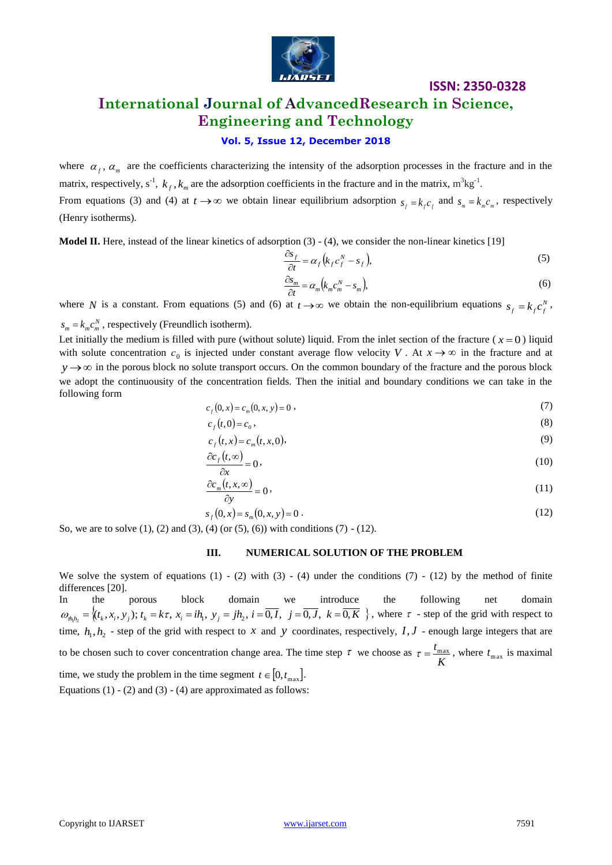

### **International Journal of AdvancedResearch in Science, Engineering and Technology**

### **Vol. 5, Issue 12, December 2018**

where  $\alpha_f$ ,  $\alpha_m$  are the coefficients characterizing the intensity of the adsorption processes in the fracture and in the matrix, respectively,  $s^{-1}$ ,  $k_f$ ,  $k_m$  are the adsorption coefficients in the fracture and in the matrix,  $m^3kg^{-1}$ . From equations (3) and (4) at  $t \to \infty$  we obtain linear equilibrium adsorption  $s_f = k_f c_f$  and  $s_m = k_m c_m$ , respectively (Henry isotherms).

**Model II.** Here, instead of the linear kinetics of adsorption (3) - (4), we consider the non-linear kinetics [19]

$$
\frac{\partial s_f}{\partial t} = \alpha_f \left( k_f c_f^N - s_f \right),\tag{5}
$$

$$
\frac{\partial s_m}{\partial t} = \alpha_m \big( k_m c_m^N - s_m \big),\tag{6}
$$

where N is a constant. From equations (5) and (6) at  $t \to \infty$  we obtain the non-equilibrium equations  $s_f = k_f c_f^N$ ,  $s_m = k_m c_m^N$ , respectively (Freundlich isotherm).

Let initially the medium is filled with pure (without solute) liquid. From the inlet section of the fracture  $(x = 0)$  liquid with solute concentration  $c_0$  is injected under constant average flow velocity V. At  $x \to \infty$  in the fracture and at  $y \rightarrow \infty$  in the porous block no solute transport occurs. On the common boundary of the fracture and the porous block we adopt the continuousity of the concentration fields. Then the initial and boundary conditions we can take in the following form

$$
c_f(0, x) = c_m(0, x, y) = 0,
$$
\n(7)

$$
c_f(t,0) = c_0,\tag{8}
$$

$$
c_f(t, x) = c_m(t, x, 0),
$$
\n(9)

$$
\frac{\partial c_f(t, \infty)}{\partial x} = 0\tag{10}
$$

$$
\frac{\partial c_m(t, x, \infty)}{\partial y} = 0 \tag{11}
$$

$$
s_f(0, x) = s_m(0, x, y) = 0.
$$
\n(12)

So, we are to solve  $(1)$ ,  $(2)$  and  $(3)$ ,  $(4)$  (or  $(5)$ ,  $(6)$ ) with conditions  $(7)$  -  $(12)$ .

#### **III. NUMERICAL SOLUTION OF THE PROBLEM**

We solve the system of equations  $(1) - (2)$  with  $(3) - (4)$  under the conditions  $(7) - (12)$  by the method of finite differences [20].

In the porous block domain we introduce the following net domain  $\omega_{n_1h_2} = \langle (t_k, x_i, y_j); t_k = k\tau, x_i = ih_1, y_j = jh_2, i = 0, I, j = 0, J, k = 0, K \rangle$ , where  $\tau$  - step of the grid with respect to time,  $h_1, h_2$  - step of the grid with respect to x and y coordinates, respectively,  $I, J$  - enough large integers that are to be chosen such to cover concentration change area. The time step  $\tau$  we choose as *K*  $\tau = \frac{t_{\text{max}}}{\tau}$ , where  $t_{\text{max}}$  is maximal time, we study the problem in the time segment  $t \in [0, t_{\max}]$ . Equations  $(1) - (2)$  and  $(3) - (4)$  are approximated as follows: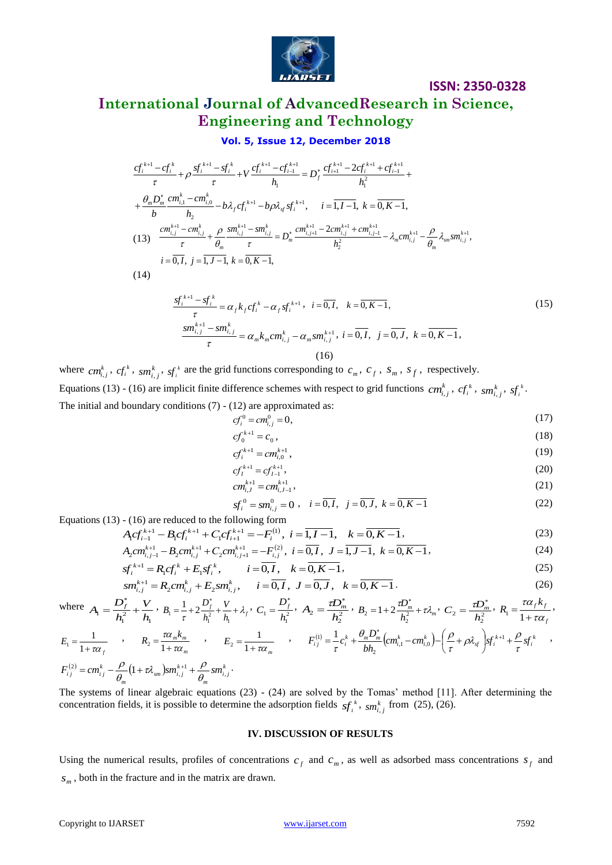

### **International Journal of AdvancedResearch in Science, Engineering and Technology**

#### **Vol. 5, Issue 12, December 2018**

$$
\frac{cf_i^{k+1} - cf_i^k}{\tau} + \rho \frac{sf_i^{k+1} - sf_i^k}{\tau} + V \frac{cf_i^{k+1} - cf_{i-1}^{k+1}}{h_1} = D_j^* \frac{cf_{i+1}^{k+1} - 2cf_i^{k+1} + cf_{i-1}^{k+1}}{h_1^2} + \frac{\theta_m D_m^* \cdot cm_{i,1}^k - cm_{i,0}^k}{h_2} - b\lambda_f cf_i^{k+1} - b\rho \lambda_{sf} st_i^{k+1}, \quad i = \overline{1, I-1}, \ k = \overline{0, K-1},
$$
\n(13) 
$$
\frac{cm_{i,j}^{k+1} - cm_{i,j}^k}{\tau} + \frac{\rho}{\theta_m} \frac{sm_{i,j}^{k+1} - sm_{i,j}^k}{\tau} = D_m^* \frac{cm_{i,j+1}^{k+1} - 2cm_{i,j}^{k+1} + cm_{i,j-1}^{k+1}}{h_2^2} - \lambda_m cm_{i,j}^{k+1} - \frac{\rho}{\theta_m} \lambda_{sm} sm_{i,j}^{k+1},
$$
\n $i = \overline{0, I}, \ j = \overline{1, J-1}, \ k = \overline{0, K-1},$ \n(14) 
$$
sf_i^{k+1} - sf_i^k
$$
\n(15)

$$
\frac{sf_i^{k+1} - sf_i^k}{\tau} = \alpha_f k_f cf_i^k - \alpha_f sf_i^{k+1}, \quad i = \overline{0, I}, \quad k = \overline{0, K-1},
$$
\n
$$
\frac{sm_{i,j}^{k+1} - sm_{i,j}^k}{\tau} = \alpha_m k_m cm_{i,j}^k - \alpha_m sm_{i,j}^{k+1}, \quad i = \overline{0, I}, \quad j = \overline{0, J}, \quad k = \overline{0, K-1},
$$
\n(15)\n(16)

where  $cm_{i,j}^k$ ,  $cf_i^k$ ,  $sm_{i,j}^k$ ,  $sf_i^k$  are the grid functions corresponding to  $c_m$ ,  $c_f$ ,  $s_m$ ,  $s_f$ , respectively. Equations (13) - (16) are implicit finite difference schemes with respect to grid functions  $cm_{i,j}^k$ ,  $cf_i^k$ ,  $sm_{i,j}^k$ ,  $sf_i^k$ . The initial and boundary conditions  $(7)$  -  $(12)$  are approximated as:

$$
cf_i^0 = cm_{i,j}^0 = 0,
$$
\n(17)

$$
cf_0^{k+1} = c_0 \,,\tag{18}
$$

$$
cf_i^{k+1} = cm_{i,0}^{k+1}, \tag{19}
$$

$$
cf_i^{k+1} = cf_{i-1}^{k+1},
$$
\n
$$
c_1^{k+1} = c_2^{k+1}
$$
\n(20)

$$
cm_{i,J}^{k+1} = cm_{i,J-1}^{k+1},\tag{21}
$$

$$
sf_i^0 = sm_{i,j}^0 = 0 \; , \quad i = \overline{0, I}, \quad j = \overline{0, J}, \quad k = \overline{0, K - 1}
$$
 (22)

Equations (13) - (16) are reduced to the following form  
\n
$$
A_i G_{i-1}^{k+1} - B_i G_i^{k+1} + C_i G_{i+1}^{k+1} = -F_i^{(1)}, \ i = \overline{1, I-1}, \quad k = \overline{0, K-1},
$$
\n(23)

$$
A_2cm_{i,j-1}^{k+1} - B_2cm_{i,j}^{k+1} + C_2cm_{i,j+1}^{k+1} = -F_{i,j}^{(2)}, \ i = \overline{0, I}, \ J = \overline{1, J-1}, \ k = \overline{0, K-1}, \tag{24}
$$

$$
sf_i^{k+1} = R_i cf_i^k + E_i sf_i^k, \qquad i = \overline{0, I}, \quad k = \overline{0, K-1}, \tag{25}
$$

$$
sm_{i,j}^{k+1} = R_2 cm_{i,j}^k + E_2 sm_{i,j}^k, \qquad i = \overline{0, I}, \quad J = \overline{0, J}, \quad k = \overline{0, K - 1}.
$$
\n<sup>(26)</sup>

where 
$$
A_1 = \frac{D_f^*}{h_1^2} + \frac{V}{h_1}
$$
,  $B_1 = \frac{1}{\tau} + 2\frac{D_f^*}{h_1^2} + \frac{V}{h_1} + \lambda_f$ ,  $C_1 = \frac{D_f^*}{h_1^2}$ ,  $A_2 = \frac{\tau D_m^*}{h_2^2}$ ,  $B_2 = 1 + 2\frac{\tau D_m^*}{h_2^2} + \tau \lambda_m$ ,  $C_2 = \frac{\tau D_m^*}{h_2^2}$ ,  $R_1 = \frac{\tau \alpha_f k_f}{1 + \tau \alpha_f}$ ,

$$
E_1 = \frac{1}{1 + \pi \alpha_f} \qquad , \qquad R_2 = \frac{\pi \alpha_m k_m}{1 + \pi \alpha_m} \qquad , \qquad E_2 = \frac{1}{1 + \pi \alpha_m} \qquad , \qquad F_i^{(1)} = \frac{1}{\tau} c_i^k + \frac{\theta_m D_m^*}{b h_2} (c m_{i,1}^k - c m_{i,0}^k) - \left(\frac{\rho}{\tau} + \rho \lambda_{sf}\right) sf_i^{k+1} + \frac{\rho}{\tau} sf_i^k \qquad ,
$$
  

$$
F_{i,j}^{(2)} = c m_{i,j}^k - \frac{\rho}{\theta_m} (1 + \tau \lambda_{sm}) sm_{i,j}^{k+1} + \frac{\rho}{\theta_m} sm_{i,j}^k.
$$

The systems of linear algebraic equations (23) - (24) are solved by the Tomas' method [11]. After determining the concentration fields, it is possible to determine the adsorption fields  $sf_i^k$ ,  $sm_{i,j}^k$  from (25), (26).

#### **IV. DISCUSSION OF RESULTS**

Using the numerical results, profiles of concentrations  $c_f$  and  $c_m$ , as well as adsorbed mass concentrations  $s_f$  and *m s* , both in the fracture and in the matrix are drawn.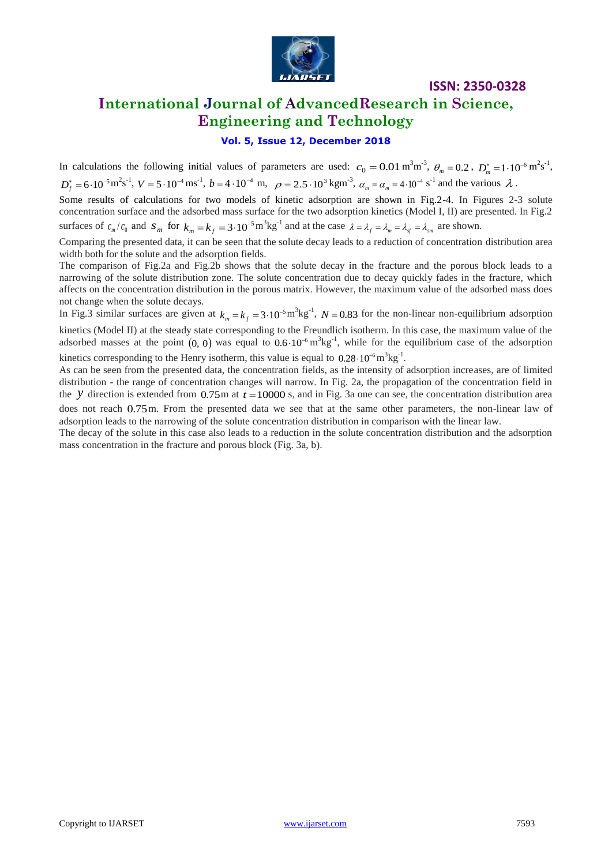

### **International Journal of AdvancedResearch in Science, Engineering and Technology**

### **Vol. 5, Issue 12, December 2018**

In calculations the following initial values of parameters are used:  $c_0 = 0.01 \text{ m}^3 \text{m}^{-3}$ ,  $\theta_m = 0.2$ ,  $D_m^* = 1.10^{-6} \text{m}^2 \text{s}^{-1}$ ,  $D_f^* = 6 \cdot 10^{-5} \,\text{m}^2\text{s}^{-1}$ ,  $V = 5 \cdot 10^{-4} \,\text{m}^2\text{s}^{-1}$ ,  $b = 4 \cdot 10^{-4} \,\text{m}$ ,  $\rho = 2.5 \cdot 10^3 \,\text{kg} \,\text{m}^{-3}$ ,  $\alpha_m = \alpha_m = 4 \cdot 10^{-4} \,\text{s}^{-1}$  and the various  $\lambda$ .

Some results of calculations for two models of kinetic adsorption are shown in Fig.2-4. In Figures 2-3 solute concentration surface and the adsorbed mass surface for the two adsorption kinetics (Model I, II) are presented. In Fig.2 surfaces of  $c_m/c_0$  and  $s_m$  for  $k_m = k_f = 3 \cdot 10^{-5} \text{m}^3 \text{kg}^{-1}$  and at the case  $\lambda = \lambda_f = \lambda_m = \lambda_{sf} = \lambda_{sm}$  are shown.

Comparing the presented data, it can be seen that the solute decay leads to a reduction of concentration distribution area width both for the solute and the adsorption fields.

The comparison of Fig.2a and Fig.2b shows that the solute decay in the fracture and the porous block leads to a narrowing of the solute distribution zone. The solute concentration due to decay quickly fades in the fracture, which affects on the concentration distribution in the porous matrix. However, the maximum value of the adsorbed mass does not change when the solute decays.

In Fig.3 similar surfaces are given at  $k_m = k_f = 3 \cdot 10^{-5} \text{m}^3 \text{kg}^{-1}$ ,  $N = 0.83$  for the non-linear non-equilibrium adsorption kinetics (Model II) at the steady state corresponding to the Freundlich isotherm. In this case, the maximum value of the adsorbed masses at the point  $(0, 0)$  was equal to  $0.6 \cdot 10^{-6}$  m<sup>3</sup>kg<sup>-1</sup>, while for the equilibrium case of the adsorption

kinetics corresponding to the Henry isotherm, this value is equal to  $0.28 \cdot 10^{-6}$  m<sup>3</sup>kg<sup>-1</sup>.

As can be seen from the presented data, the concentration fields, as the intensity of adsorption increases, are of limited distribution - the range of concentration changes will narrow. In Fig. 2a, the propagation of the concentration field in the y direction is extended from  $0.75$ m at  $t = 10000$  s, and in Fig. 3a one can see, the concentration distribution area

does not reach 0.75 m. From the presented data we see that at the same other parameters, the non-linear law of adsorption leads to the narrowing of the solute concentration distribution in comparison with the linear law.

The decay of the solute in this case also leads to a reduction in the solute concentration distribution and the adsorption mass concentration in the fracture and porous block (Fig. 3a, b).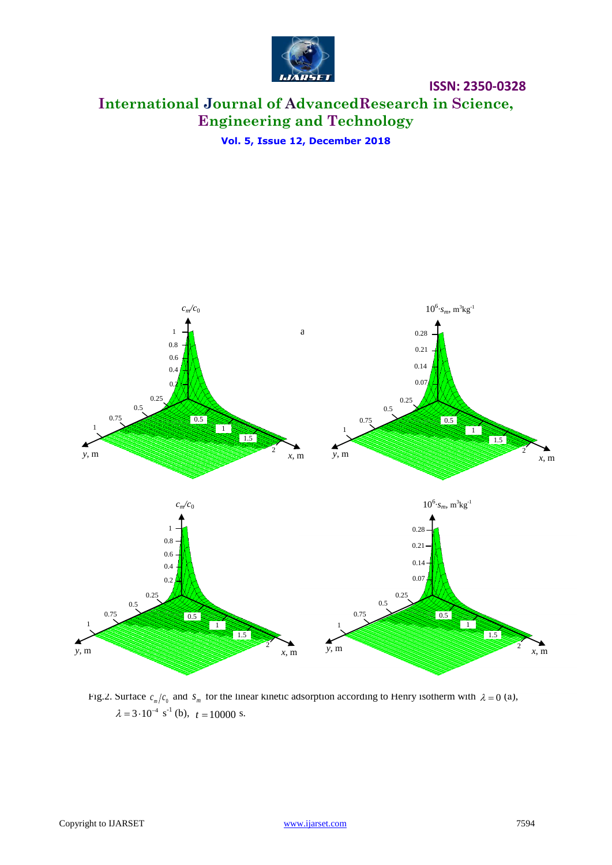

### **International Journal of AdvancedResearch in Science, Engineering and Technology**

**Vol. 5, Issue 12, December 2018**



Fig.2. Surface  $c_m/c_0$  and  $s_m$  for the linear kinetic adsorption according to Henry isotherm with  $\lambda = 0$  (a),  $\lambda = 3 \cdot 10^{-4} \text{ s}^{-1}$  (b),  $t = 10000 \text{ s}.$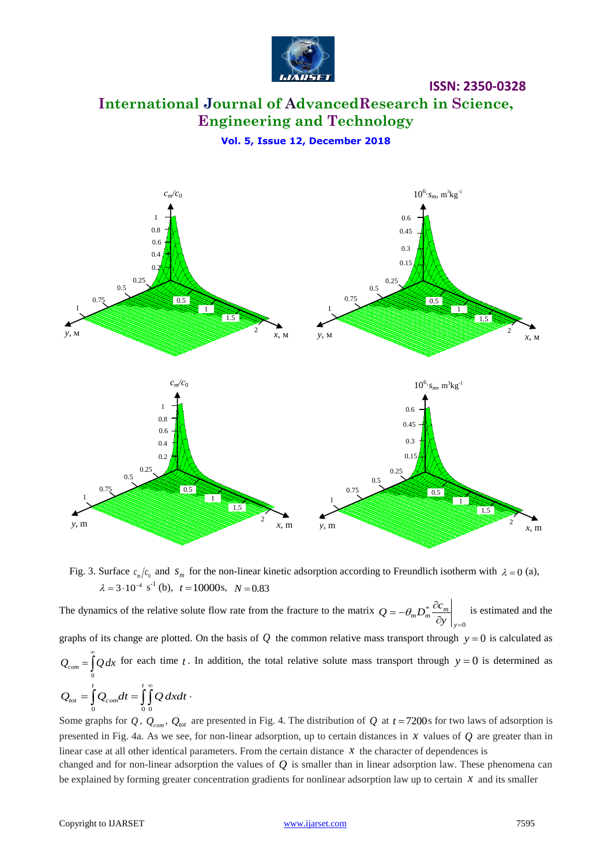

### **International Journal of AdvancedResearch in Science, Engineering and Technology**

**Vol. 5, Issue 12, December 2018**



Fig. 3. Surface  $c_m/c_0$  and  $s_m$  for the non-linear kinetic adsorption according to Freundlich isotherm with  $\lambda = 0$  (a),  $\lambda = 3.10^{-4} \text{ s}^{-1}$  (b),  $t = 10000 \text{ s}$ ,  $N = 0.83$ 

The dynamics of the relative solute flow rate from the fracture to the matrix  $\mathbf{0}$ \*  $\partial y \big|_{y=}$  $=-\theta_{m}D_{m}^{\ast}\frac{\partial}{\partial x}$ *y*  $D_m^* D_m^* \frac{\partial C_m}{\partial y}$  $Q = -\theta_m D_m^* \frac{\partial c_m}{\partial r}$  is estimated and the graphs of its change are plotted. On the basis of  $Q$  the common relative mass transport through  $y = 0$  is calculated as  $\int\limits_0^\infty$  $Q_{com} = \int Q dx$  for each time t. In addition, the total relative solute mass transport through  $y = 0$  is determined as 0  $Q_{\text{tot}} = \int_a^t Q_{\text{com}} dt = \int_a^t \int_a^{\infty} Q \, dx dt$ 0 0 0 .

Some graphs for  $Q$ ,  $Q_{com}$ ,  $Q_{tot}$  are presented in Fig. 4. The distribution of  $Q$  at  $t = 7200$ s for two laws of adsorption is presented in Fig. 4a. As we see, for non-linear adsorption, up to certain distances in *x* values of *Q* are greater than in linear case at all other identical parameters. From the certain distance  $x$  the character of dependences is

changed and for non-linear adsorption the values of *Q* is smaller than in linear adsorption law. These phenomena can be explained by forming greater concentration gradients for nonlinear adsorption law up to certain  $x$  and its smaller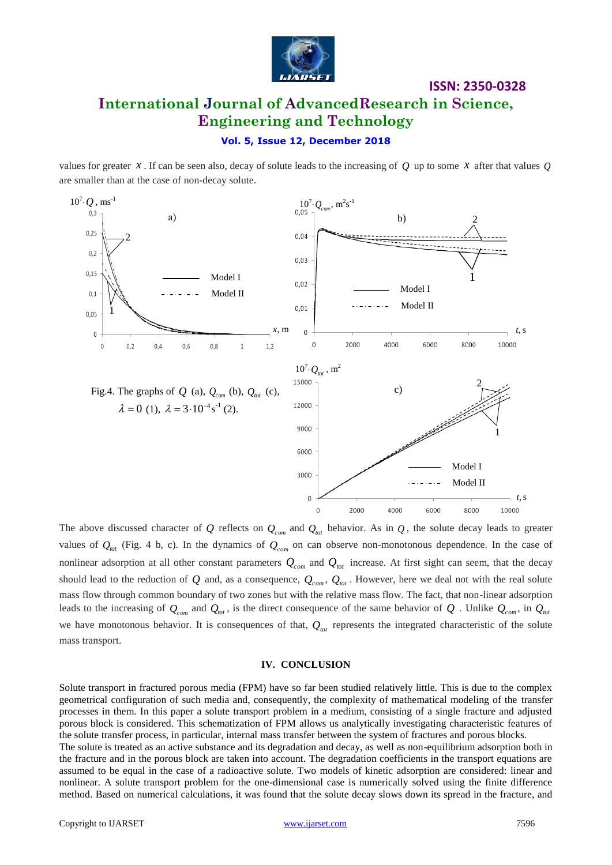

### **ISSN: 2350-0328 International Journal of AdvancedResearch in Science, Engineering and Technology**

#### **Vol. 5, Issue 12, December 2018**

values for greater  $x$ . If can be seen also, decay of solute leads to the increasing of  $Q$  up to some  $x$  after that values  $Q$ are smaller than at the case of non-decay solute.



The above discussed character of  $Q$  reflects on  $Q_{com}$  and  $Q_{tot}$  behavior. As in  $Q$ , the solute decay leads to greater values of  $Q_{tot}$  (Fig. 4 b, c). In the dynamics of  $Q_{com}$  on can observe non-monotonous dependence. In the case of nonlinear adsorption at all other constant parameters  $Q_{com}$  and  $Q_{tot}$  increase. At first sight can seem, that the decay should lead to the reduction of  $Q$  and, as a consequence,  $Q_{com}$ ,  $Q_{tot}$ . However, here we deal not with the real solute mass flow through common boundary of two zones but with the relative mass flow. The fact, that non-linear adsorption leads to the increasing of  $Q_{_{con}}$  and  $Q_{_{tot}}$ , is the direct consequence of the same behavior of  $Q$  . Unlike  $Q_{_{con}}$ , in  $Q_{_{tot}}$ we have monotonous behavior. It is consequences of that,  $Q_{\text{tot}}$  represents the integrated characteristic of the solute mass transport.

#### **IV. CONCLUSION**

Solute transport in fractured porous media (FPM) have so far been studied relatively little. This is due to the complex geometrical configuration of such media and, consequently, the complexity of mathematical modeling of the transfer processes in them. In this paper a solute transport problem in a medium, consisting of a single fracture and adjusted porous block is considered. This schematization of FPM allows us analytically investigating characteristic features of the solute transfer process, in particular, internal mass transfer between the system of fractures and porous blocks.

The solute is treated as an active substance and its degradation and decay, as well as non-equilibrium adsorption both in the fracture and in the porous block are taken into account. The degradation coefficients in the transport equations are assumed to be equal in the case of a radioactive solute. Two models of kinetic adsorption are considered: linear and nonlinear. A solute transport problem for the one-dimensional case is numerically solved using the finite difference method. Based on numerical calculations, it was found that the solute decay slows down its spread in the fracture, and